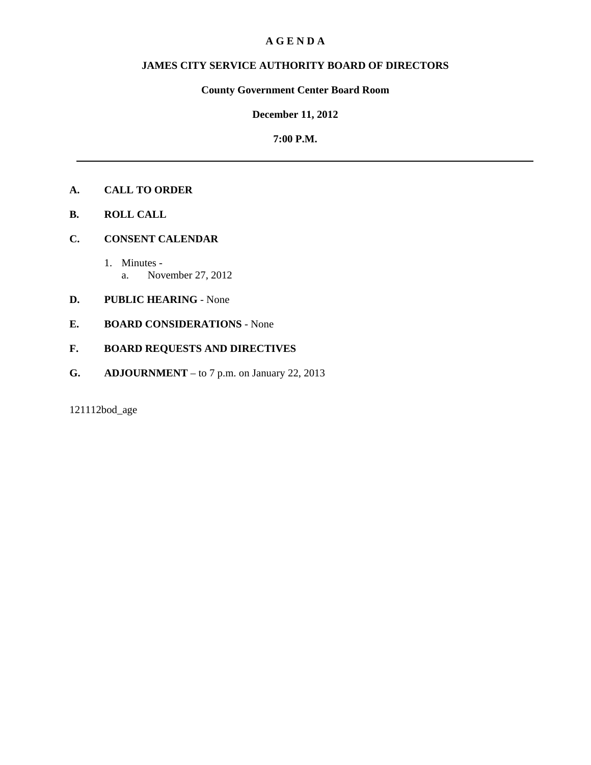#### **A G E N D A**

# **JAMES CITY SERVICE AUTHORITY BOARD OF DIRECTORS**

#### **County Government Center Board Room**

### **December 11, 2012**

#### **7:00 P.M.**

#### **A. CALL TO ORDER**

- **B. ROLL CALL**
- **C. CONSENT CALENDAR** 
	- 1. Minutes a. November 27, 2012

### **D. PUBLIC HEARING** - None

**E. BOARD CONSIDERATIONS** - None

# **F. BOARD REQUESTS AND DIRECTIVES**

**G. ADJOURNMENT** – to 7 p.m. on January 22, 2013

121112bod\_age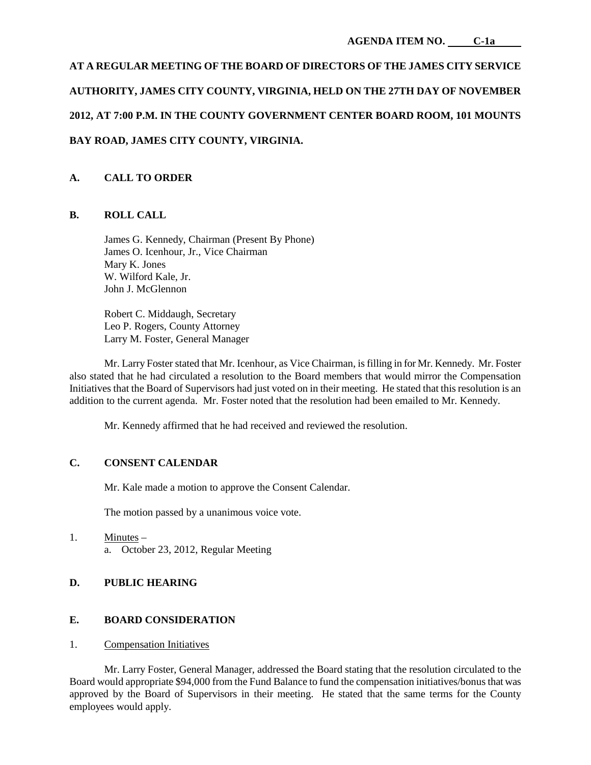# **AT A REGULAR MEETING OF THE BOARD OF DIRECTORS OF THE JAMES CITY SERVICE AUTHORITY, JAMES CITY COUNTY, VIRGINIA, HELD ON THE 27TH DAY OF NOVEMBER 2012, AT 7:00 P.M. IN THE COUNTY GOVERNMENT CENTER BOARD ROOM, 101 MOUNTS BAY ROAD, JAMES CITY COUNTY, VIRGINIA.**

# **A. CALL TO ORDER**

## **B. ROLL CALL**

James G. Kennedy, Chairman (Present By Phone) James O. Icenhour, Jr., Vice Chairman Mary K. Jones W. Wilford Kale, Jr. John J. McGlennon

Robert C. Middaugh, Secretary Leo P. Rogers, County Attorney Larry M. Foster, General Manager

Mr. Larry Foster stated that Mr. Icenhour, as Vice Chairman, is filling in for Mr. Kennedy. Mr. Foster also stated that he had circulated a resolution to the Board members that would mirror the Compensation Initiatives that the Board of Supervisors had just voted on in their meeting. He stated that this resolution is an addition to the current agenda. Mr. Foster noted that the resolution had been emailed to Mr. Kennedy.

Mr. Kennedy affirmed that he had received and reviewed the resolution.

# **C. CONSENT CALENDAR**

Mr. Kale made a motion to approve the Consent Calendar.

The motion passed by a unanimous voice vote.

1. Minutes – a. October 23, 2012, Regular Meeting

# **D. PUBLIC HEARING**

# **E. BOARD CONSIDERATION**

### 1. Compensation Initiatives

Mr. Larry Foster, General Manager, addressed the Board stating that the resolution circulated to the Board would appropriate \$94,000 from the Fund Balance to fund the compensation initiatives/bonus that was approved by the Board of Supervisors in their meeting. He stated that the same terms for the County employees would apply.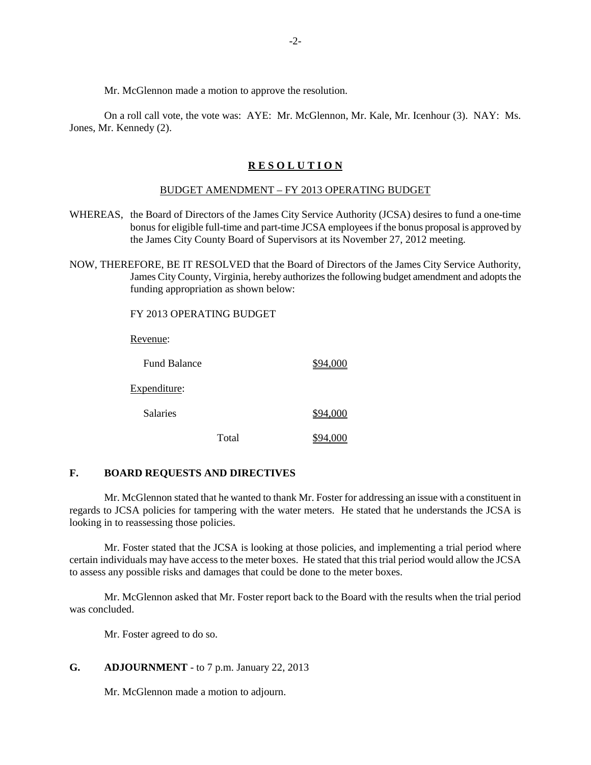Mr. McGlennon made a motion to approve the resolution.

On a roll call vote, the vote was: AYE: Mr. McGlennon, Mr. Kale, Mr. Icenhour (3). NAY: Ms. Jones, Mr. Kennedy (2).

#### **R E S O L U T I O N**

#### BUDGET AMENDMENT – FY 2013 OPERATING BUDGET

- WHEREAS, the Board of Directors of the James City Service Authority (JCSA) desires to fund a one-time bonus for eligible full-time and part-time JCSA employees if the bonus proposal is approved by the James City County Board of Supervisors at its November 27, 2012 meeting.
- NOW, THEREFORE, BE IT RESOLVED that the Board of Directors of the James City Service Authority, James City County, Virginia, hereby authorizes the following budget amendment and adopts the funding appropriation as shown below:

FY 2013 OPERATING BUDGET Revenue: Fund Balance \$94,000 Expenditure: Salaries  $$94,000$ Total \$94,000

#### **F. BOARD REQUESTS AND DIRECTIVES**

Mr. McGlennon stated that he wanted to thank Mr. Foster for addressing an issue with a constituent in regards to JCSA policies for tampering with the water meters. He stated that he understands the JCSA is looking in to reassessing those policies.

Mr. Foster stated that the JCSA is looking at those policies, and implementing a trial period where certain individuals may have access to the meter boxes. He stated that this trial period would allow the JCSA to assess any possible risks and damages that could be done to the meter boxes.

Mr. McGlennon asked that Mr. Foster report back to the Board with the results when the trial period was concluded.

Mr. Foster agreed to do so.

#### **G. ADJOURNMENT** - to 7 p.m. January 22, 2013

Mr. McGlennon made a motion to adjourn.